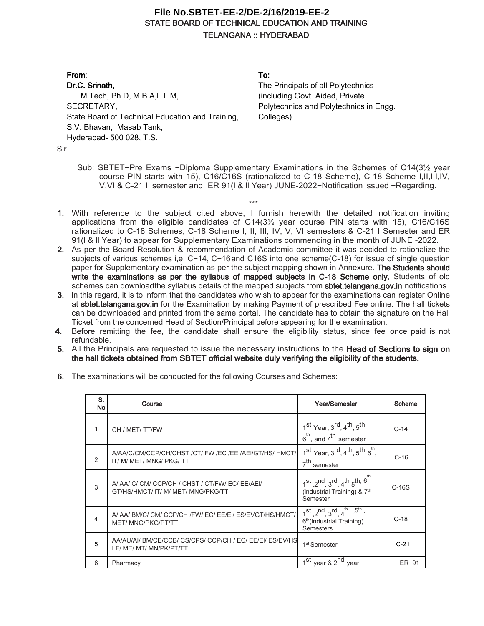## **STATE BOARD OF TECHNICAL EDUCATION AND TRAINING TELANGANA :: HYDERABAD File No.SBTET-EE-2/DE-2/16/2019-EE-2**

**From**: **Dr.C. Srinath,**  M.Tech, Ph.D, M.B.A,L.L.M, SECRETARY**,** State Board of Technical Education and Training, S.V. Bhavan, Masab Tank, Hyderabad- 500 028, T.S.

**To:**

The Principals of all Polytechnics (including Govt. Aided, Private Polytechnics and Polytechnics in Engg. Colleges).

Sir

Sub: SBTET−Pre Exams −Diploma Supplementary Examinations in the Schemes of C14(3½ year course PIN starts with 15), C16/C16S (rationalized to C-18 Scheme), C-18 Scheme I,II,III,IV, V,VI & C-21 I semester and ER 91(l & ll Year) JUNE-2022−Notification issued −Regarding.

\*\*\*

- **1.** With reference to the subject cited above, l furnish herewith the detailed notification inviting applications from the eligible candidates of C14(3½ year course PIN starts with 15), C16/C16S rationalized to C-18 Schemes, C-18 Scheme I, II, III, IV, V, VI semesters & C-21 I Semester and ER 91(l & ll Year) to appear for Supplementary Examinations commencing in the month of JUNE -2022.
- **2.** As per the Board Resolution & recommendation of Academic committee it was decided to rationalize the subjects of various schemes i,e. C−14, C−16and C16S into one scheme(C-18) for issue of single question paper for Supplementary examination as per the subject mapping shown in Annexure. **The Students should**  write the examinations as per the syllabus of mapped subjects in C-18 Scheme only. Students of old schemes can downloadthe syllabus details of the mapped subjects from **sbtet.telangana.gov.in** notifications.
- **3.** ln this regard, it is to inform that the candidates who wish to appear for the examinations can register Online at **sbtet.telangana.gov.in** for the Examination by making Payment of prescribed Fee online. The hall tickets can be downloaded and printed from the same portal. The candidate has to obtain the signature on the Hall Ticket from the concerned Head of Section/Principal before appearing for the examination.
- **4.** Before remitting the fee, the candidate shall ensure the eligibility status, since fee once paid is not refundable,
- **5.** All the Principals are requested to issue the necessary instructions to the **Head of Sections to sign on the hall tickets obtained from SBTET official website duly verifying the eligibility of the students.**
- **6.** The examinations will be conducted for the following Courses and Schemes:

| S.<br>No      | Course                                                                               | Year/Semester                                                                                                       | Scheme  |
|---------------|--------------------------------------------------------------------------------------|---------------------------------------------------------------------------------------------------------------------|---------|
|               | CH / MET/TT/FW                                                                       | $1st$ Year, $3rd$ , $4th$ , $5th$<br>$6th$ , and $7th$ semester                                                     | $C-14$  |
| $\mathcal{P}$ | A/AA/C/CM/CCP/CH/CHST/CT/FW/EC/EE/AEI/GT/HS/HMCT/<br>IT/ M/ MET/ MNG/ PKG/ TT        | $1st$ Year, $3rd$ , $4th$ , $5th$ $6th$ ,<br>7 <sup>th</sup> semester                                               | $C-16$  |
| 3             | A/AA/C/CM/CCP/CH/CHST/CT/FW/EC/EE/AEI/<br>GT/HS/HMCT/ IT/ M/ MET/ MNG/PKG/TT         | $1^{st}$ $2^{nd}$ $3^{rd}$ $4^{th}$ $5^{th}$ , $6^{th}$<br>(Industrial Training) & 7 <sup>th</sup><br>Semester      | $C-16S$ |
| 4             | A/ AA/ BM/C/ CM/ CCP/CH /FW/ EC/ EE/EI/ ES/EVGT/HS/HMCT/<br><b>MET/MNG/PKG/PT/TT</b> | $1^{st}$ , $2^{nd}$ , $3^{rd}$ , $4^{th}$ , $5^{th}$ ,<br>6 <sup>th</sup> (Industrial Training)<br><b>Semesters</b> | $C-18$  |
| 5             | AA/AU/AI/ BM/CE/CCB/ CS/CPS/ CCP/CH / EC/ EE/EI/ ES/EV/HS<br>LF/ ME/ MT/ MN/PK/PT/TT | 1 <sup>st</sup> Semester                                                                                            | $C-21$  |
| 6             | Pharmacy                                                                             | $\overline{1^{st}}$ year & 2 <sup>nd</sup><br>year                                                                  | ER-91   |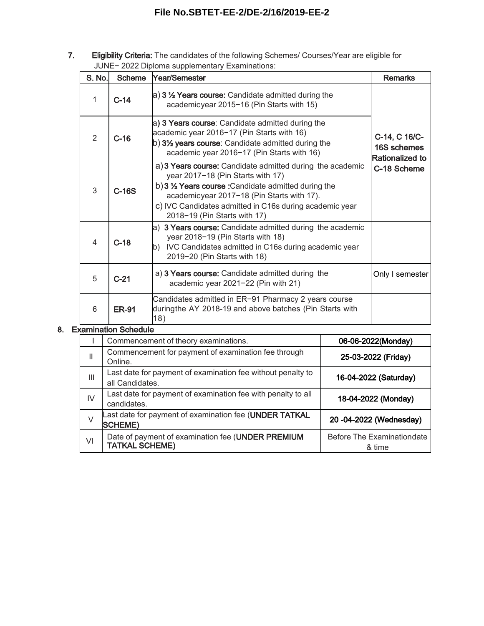# **File No.SBTET-EE-2/DE-2/16/2019-EE-2**

**7. Eligibility Criteria:** The candidates of the following Schemes/ Courses/Year are eligible for JUNE− 2022 Diploma supplementary Examinations:

| S. No.         | <b>Scheme</b> | Year/Semester                                                                                                                                                                                                                                                                                   | <b>Remarks</b>                                                        |  |
|----------------|---------------|-------------------------------------------------------------------------------------------------------------------------------------------------------------------------------------------------------------------------------------------------------------------------------------------------|-----------------------------------------------------------------------|--|
| 1              | $C-14$        | a) 3 1/2 Years course: Candidate admitted during the<br>academicyear 2015-16 (Pin Starts with 15)                                                                                                                                                                                               | C-14, C 16/C-<br>16S schemes<br><b>Rationalized to</b><br>C-18 Scheme |  |
| $\mathcal{P}$  | $C-16$        | a) 3 Years course: Candidate admitted during the<br>academic year 2016-17 (Pin Starts with 16)<br>$\vert$ b) 3 $\frac{1}{2}$ years course: Candidate admitted during the<br>academic year 2016-17 (Pin Starts with 16)                                                                          |                                                                       |  |
| 3              | $C-16S$       | a) 3 Years course: Candidate admitted during the academic<br>year 2017-18 (Pin Starts with 17)<br>b) 3 1/2 Years course: Candidate admitted during the<br>academicyear 2017-18 (Pin Starts with 17).<br>c) IVC Candidates admitted in C16s during academic year<br>2018-19 (Pin Starts with 17) |                                                                       |  |
| $\overline{4}$ | $C-18$        | a) 3 Years course: Candidate admitted during the academic<br>year 2018-19 (Pin Starts with 18)<br>b) IVC Candidates admitted in C16s during academic year<br>2019-20 (Pin Starts with 18)                                                                                                       |                                                                       |  |
| 5              | $C-21$        | a) 3 Years course: Candidate admitted during the<br>academic year 2021-22 (Pin with 21)                                                                                                                                                                                                         |                                                                       |  |
| 6              | <b>ER-91</b>  | Candidates admitted in ER-91 Pharmacy 2 years course<br>duringthe AY 2018-19 and above batches (Pin Starts with<br>18)                                                                                                                                                                          |                                                                       |  |

#### **8. Examination Schedule**

|    | Commencement of theory examinations.                                           | 06-06-2022(Monday)                          |
|----|--------------------------------------------------------------------------------|---------------------------------------------|
| Ш  | Commencement for payment of examination fee through<br>Online.                 | 25-03-2022 (Friday)                         |
| Ш  | Last date for payment of examination fee without penalty to<br>all Candidates. | 16-04-2022 (Saturday)                       |
| IV | Last date for payment of examination fee with penalty to all<br>candidates.    | 18-04-2022 (Monday)                         |
| V  | Last date for payment of examination fee (UNDER TATKAL<br><b>SCHEME)</b>       | 20 -04-2022 (Wednesday)                     |
| VI | Date of payment of examination fee (UNDER PREMIUM<br><b>TATKAL SCHEME)</b>     | <b>Before The Examinationdate</b><br>& time |